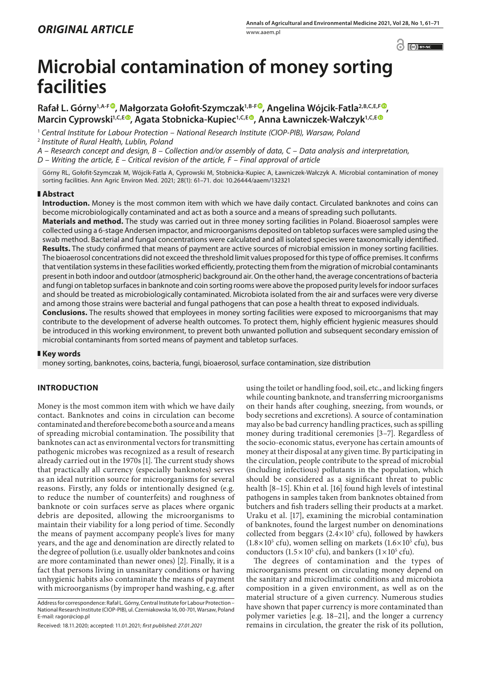$\odot$   $\odot$  BY-NC

# **Microbial contamination of money sorting facilities**

**Rafał L. Górny1,A-[F](https://orcid.org/0000-0001-5703-5835) , Małgorzata Gołofit-Szymczak1,B-F , Angelina Wójcik-Fatla2,B,C,E,F , Marcin Cyprowski1,C,E , Agata Stobnicka-Kupiec1,C,[E](https://orcid.org/0000-0003-1212-0651) , Anna Ławniczek-Wałczyk1,C,E**

<sup>1</sup> *Central Institute for Labour Protection – National Research Institute (CIOP-PIB), Warsaw, Poland* <sup>2</sup> *Institute of Rural Health, Lublin, Poland*

*A – Research concept and design, B – Collection and/or assembly of data, C – Data analysis and interpretation,* 

*D – Writing the article, E – Critical revision of the article, F – Final approval of article*

Górny RL, Gołofit-Szymczak M, Wójcik-Fatla A, Cyprowski M, Stobnicka-Kupiec A, Ławniczek-Wałczyk A. Microbial contamination of money sorting facilities. Ann Agric Environ Med. 2021; 28(1): 61–71. doi: 10.26444/aaem/132321

#### **Abstract**

**Introduction.** Money is the most common item with which we have daily contact. Circulated banknotes and coins can become microbiologically contaminated and act as both a source and a means of spreading such pollutants.

**Materials and method.** The study was carried out in three money sorting facilities in Poland. Bioaerosol samples were collected using a 6-stage Andersen impactor, and microorganisms deposited on tabletop surfaces were sampled using the swab method. Bacterial and fungal concentrations were calculated and all isolated species were taxonomically identified. **Results.** The study confirmed that means of payment are active sources of microbial emission in money sorting facilities. The bioaerosol concentrations did not exceed the threshold limit values proposed for this type of office premises. It confirms that ventilation systems in these facilities worked efficiently, protecting them from the migration of microbial contaminants present in both indoor and outdoor (atmospheric) background air. On the other hand, the average concentrations of bacteria and fungi on tabletop surfaces in banknote and coin sorting rooms were above the proposed purity levels for indoor surfaces and should be treated as microbiologically contaminated. Microbiota isolated from the air and surfaces were very diverse and among those strains were bacterial and fungal pathogens that can pose a health threat to exposed individuals. **Conclusions.** The results showed that employees in money sorting facilities were exposed to microorganisms that may contribute to the development of adverse health outcomes. To protect them, highly efficient hygienic measures should be introduced in this working environment, to prevent both unwanted pollution and subsequent secondary emission of microbial contaminants from sorted means of payment and tabletop surfaces.

#### **Key words**

money sorting, banknotes, coins, bacteria, fungi, bioaerosol, surface contamination, size distribution

## **INTRODUCTION**

Money is the most common item with which we have daily contact. Banknotes and coins in circulation can become contaminated and therefore become both a source and a means of spreading microbial contamination. The possibility that banknotes can act as environmental vectors for transmitting pathogenic microbes was recognized as a result of research already carried out in the 1970s [1]. The current study shows that practically all currency (especially banknotes) serves as an ideal nutrition source for microorganisms for several reasons. Firstly, any folds or intentionally designed (e.g. to reduce the number of counterfeits) and roughness of banknote or coin surfaces serve as places where organic debris are deposited, allowing the microorganisms to maintain their viability for a long period of time. Secondly the means of payment accompany people's lives for many years, and the age and denomination are directly related to the degree of pollution (i.e. usually older banknotes and coins are more contaminated than newer ones) [2]. Finally, it is a fact that persons living in unsanitary conditions or having unhygienic habits also contaminate the means of payment with microorganisms (by improper hand washing, e.g. after

using the toilet or handling food, soil, etc., and licking fingers while counting banknote, and transferring microorganisms on their hands after coughing, sneezing, from wounds, or body secretions and excretions). A source of contamination may also be bad currency handling practices, such as spilling money during traditional ceremonies [3–7]. Regardless of the socio-economic status, everyone has certain amounts of money at their disposal at any given time. By participating in the circulation, people contribute to the spread of microbial (including infectious) pollutants in the population, which should be considered as a significant threat to public health [8–15]. Khin et al. [16] found high levels of intestinal pathogens in samples taken from banknotes obtained from butchers and fish traders selling their products at a market. Uraku et al. [17], examining the microbial contamination of banknotes, found the largest number on denominations collected from beggars  $(2.4 \times 10^5 \text{ cft})$ , followed by hawkers  $(1.8 \times 10^5 \text{ cft})$ , women selling on markets  $(1.6 \times 10^5 \text{ cft})$ , bus conductors ( $1.5 \times 10^5$  cfu), and bankers ( $1 \times 10^5$  cfu).

The degrees of contamination and the types of microorganisms present on circulating money depend on the sanitary and microclimatic conditions and microbiota composition in a given environment, as well as on the material structure of a given currency. Numerous studies have shown that paper currency is more contaminated than polymer varieties [e.g. 18–21], and the longer a currency remains in circulation, the greater the risk of its pollution,

Address for correspondence: Rafał L. Górny, Central Institute for Labour Protection – National Research Institute (CIOP-PIB), ul. Czerniakowska 16, 00-701, Warsaw, Poland E-mail: ragor@ciop.pl

Received: 18.11.2020; accepted: 11.01.2021; *first published: 27.01.2021*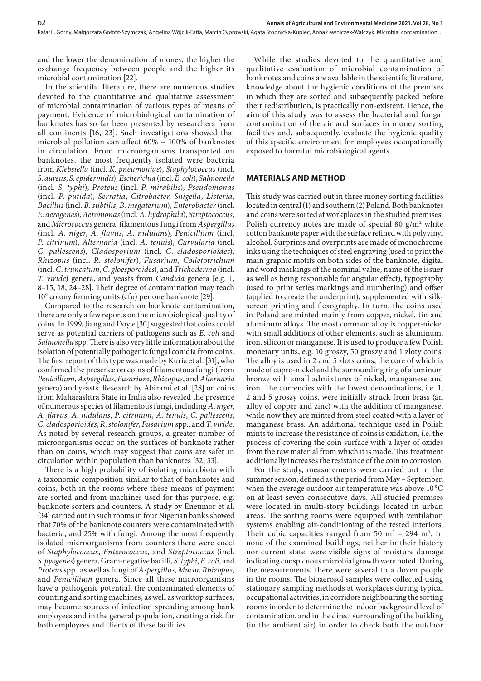and the lower the denomination of money, the higher the exchange frequency between people and the higher its microbial contamination [22].

In the scientific literature, there are numerous studies devoted to the quantitative and qualitative assessment of microbial contamination of various types of means of payment. Evidence of microbiological contamination of banknotes has so far been presented by researchers from all continents [16, 23]. Such investigations showed that microbial pollution can affect 60% – 100% of banknotes in circulation. From microorganisms transported on banknotes, the most frequently isolated were bacteria from *Klebsiella* (incl. *K*. *pneumoniae*), *Staphylococcus* (incl. *S*. *aureus*, *S*. *epidermidis*), *Escherichia* (incl. *E*. *coli*), *Salmonella* (incl. *S*. *typhi*), *Proteus* (incl. *P*. *mirabilis*), *Pseudomonas* (incl. *P*. *putida*), *Serratia*, *Citrobacter*, *Shigella*, *Listeria*, *Bacillus* (incl. *B*. *subtilis*, *B*. *megaterium*), *Enterobacter* (incl. *E*. *aerogenes*), *Aeromonas* (incl. *A*. *hydrophila*), *Streptococcus*, and *Micrococcus* genera, filamentous fungi from *Aspergillus* (incl. *A*. *niger*, *A*. *flavus*, *A*. *nidulans*), *Penicillium* (incl. *P*. *citrinum*), *Alternaria* (incl. *A*. *tenuis*), *Curvularia* (incl. *C*. *pallescens*), *Cladosporium* (incl. *C*. *cladosporioides*), *Rhizopus* (incl. *R*. *stolonifer*), *Fusarium*, *Colletotrichum* (incl. *C*. *truncatum*, *C*. *gloesporoides*), and *Trichoderma* (incl. *T*. *viride*) genera, and yeasts from *Candida* genera [e.g. 1, 8–15, 18, 24–28]. Their degree of contamination may reach 109 colony forming units (cfu) per one banknote [29].

Compared to the research on banknote contamination, there are only a few reports on the microbiological quality of coins. In 1999, Jiang and Doyle [30] suggested that coins could serve as potential carriers of pathogens such as *E*. *coli* and *Salmonella* spp. There is also very little information about the isolation of potentially pathogenic fungal conidia from coins. The first report of this type was made by Kuria et al. [31], who confirmed the presence on coins of filamentous fungi (from *Penicillium*, *Aspergillus*, *Fusarium*, *Rhizopus*, and *Alternaria* genera) and yeasts. Research by Abirami et al. [28] on coins from Maharashtra State in India also revealed the presence of numerous species of filamentous fungi, including *A*. *niger*, *A*. *flavus*, *A*. *nidulans*, *P*. *citrinum*, *A*. *tenuis*, *C*. *pallescens*, *C*. *cladosporioides*, *R*. *stolonifer*, *Fusarium* spp., and *T*. *viride*. As noted by several research groups, a greater number of microorganisms occur on the surfaces of banknote rather than on coins, which may suggest that coins are safer in circulation within population than banknotes [32, 33].

There is a high probability of isolating microbiota with a taxonomic composition similar to that of banknotes and coins, both in the rooms where these means of payment are sorted and from machines used for this purpose, e.g. banknote sorters and counters. A study by Eneumor et al. [34] carried out in such rooms in four Nigerian banks showed that 70% of the banknote counters were contaminated with bacteria, and 25% with fungi. Among the most frequently isolated microorganisms from counters there were cocci of *Staphylococcus*, *Enterococcus*, and *Streptococcus* (incl. *S*. *pyogenes*) genera, Gram-negative bacilli, *S*. *typhi*, *E*. *coli*, and *Proteus* spp., as well as fungi of *Aspergillus*, *Mucor*, *Rhizopus*, and *Penicillium* genera. Since all these microorganisms have a pathogenic potential, the contaminated elements of counting and sorting machines, as well as worktop surfaces, may become sources of infection spreading among bank employees and in the general population, creating a risk for both employees and clients of these facilities.

While the studies devoted to the quantitative and qualitative evaluation of microbial contamination of banknotes and coins are available in the scientific literature, knowledge about the hygienic conditions of the premises in which they are sorted and subsequently packed before their redistribution, is practically non-existent. Hence, the aim of this study was to assess the bacterial and fungal contamination of the air and surfaces in money sorting facilities and, subsequently, evaluate the hygienic quality of this specific environment for employees occupationally exposed to harmful microbiological agents.

### **MATERIALS AND METHOD**

This study was carried out in three money sorting facilities located in central (1) and southern (2) Poland. Both banknotes and coins were sorted at workplaces in the studied premises. Polish currency notes are made of special 80  $g/m^2$  white cotton banknote paper with the surface refined with polyvinyl alcohol. Surprints and overprints are made of monochrome inks using the techniques of steel engraving (used to print the main graphic motifs on both sides of the banknote, digital and word markings of the nominal value, name of the issuer as well as being responsible for angular effect), typography (used to print series markings and numbering) and offset (applied to create the underprint), supplemented with silkscreen printing and flexography. In turn, the coins used in Poland are minted mainly from copper, nickel, tin and aluminum alloys. The most common alloy is copper-nickel with small additions of other elements, such as aluminum, iron, silicon or manganese. It is used to produce a few Polish monetary units, e.g. 10 groszy, 50 groszy and 1 zloty coins. The alloy is used in 2 and 5 zlots coins, the core of which is made of cupro-nickel and the surrounding ring of aluminum bronze with small admixtures of nickel, manganese and iron. The currencies with the lowest denominations, i.e. 1, 2 and 5 groszy coins, were initially struck from brass (an alloy of copper and zinc) with the addition of manganese, while now they are minted from steel coated with a layer of manganese brass. An additional technique used in Polish mints to increase the resistance of coins is oxidation, i.e. the process of covering the coin surface with a layer of oxides from the raw material from which it is made. This treatment additionally increases the resistance of the coin to corrosion.

For the study, measurements were carried out in the summer season, defined as the period from May – September, when the average outdoor air temperature was above 10 °C on at least seven consecutive days. All studied premises were located in multi-story buildings located in urban areas. The sorting rooms were equipped with ventilation systems enabling air-conditioning of the tested interiors. Their cubic capacities ranged from  $50 \text{ m}^3 - 294 \text{ m}^3$ . In none of the examined buildings, neither in their history nor current state, were visible signs of moisture damage indicating conspicuous microbial growth were noted. During the measurements, there were several to a dozen people in the rooms. The bioaerosol samples were collected using stationary sampling methods at workplaces during typical occupational activities, in corridors neighbouring the sorting rooms in order to determine the indoor background level of contamination, and in the direct surrounding of the building (in the ambient air) in order to check both the outdoor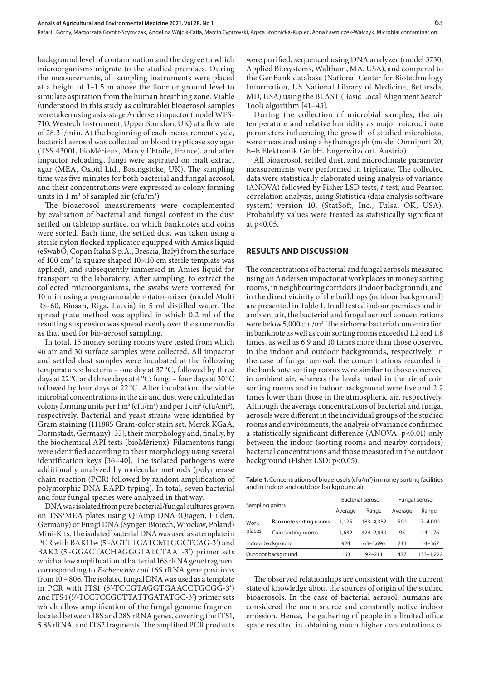background level of contamination and the degree to which microorganisms migrate to the studied premises. During the measurements, all sampling instruments were placed at a height of 1–1.5 m above the floor or ground level to simulate aspiration from the human breathing zone. Viable (understood in this study as culturable) bioaerosol samples were taken using a six-stage Andersen impactor (model WES-710, Westech Instrument, Upper Stondon, UK) at a flow rate of 28.3 l/min. At the beginning of each measurement cycle, bacterial aerosol was collected on blood trypticase soy agar (TSS 43001, bioMérieux, Marcy l'Etoile, France), and after impactor reloading, fungi were aspirated on malt extract agar (MEA, Oxoid Ltd., Basingstoke, UK). The sampling time was five minutes for both bacterial and fungal aerosol, and their concentrations were expressed as colony forming units in  $1 \text{ m}^3$  of sampled air (cfu/m<sup>3</sup>).

The bioaerosol measurements were complemented by evaluation of bacterial and fungal content in the dust settled on tabletop surface, on which banknotes and coins were sorted. Each time, the settled dust was taken using a sterile nylon flocked applicator equipped with Amies liquid (eSwabÔ, Copan Italia S.p.A., Brescia, Italy) from the surface of 100  $\text{cm}^2$  (a square shaped 10 $\times$ 10 cm sterile template was applied), and subsequently immersed in Amies liquid for transport to the laboratory. After sampling, to extract the collected microorganisms, the swabs were vortexed for 10 min using a programmable rotator-mixer (model Multi RS-60, Biosan, Riga, Latvia) in 5 ml distilled water. The spread plate method was applied in which 0.2 ml of the resulting suspension was spread evenly over the same media as that used for bio-aerosol sampling.

In total, 15 money sorting rooms were tested from which 46 air and 30 surface samples were collected. All impactor and settled dust samples were incubated at the following temperatures: bacteria – one day at 37 °C, followed by three days at 22°C and three days at 4°C; fungi – four days at 30°C followed by four days at 22 °C. After incubation, the viable microbial concentrations in the air and dust were calculated as colony forming units per  $1 \text{ m}^3$  (cfu/m<sup>3</sup>) and per  $1 \text{ cm}^2$  (cfu/cm<sup>2</sup>), respectively. Bacterial and yeast strains were identified by Gram staining (111885 Gram-color stain set, Merck KGaA, Darmstadt, Germany) [35], their morphology and, finally, by the biochemical API tests (bioMérieux). Filamentous fungi were identified according to their morphology using several identification keys [36–40]. The isolated pathogens were additionally analyzed by molecular methods (polymerase chain reaction (PCR) followed by random amplification of polymorphic DNA-RAPD typing). In total, seven bacterial and four fungal species were analyzed in that way.

DNA was isolated from pure bacterial/fungal cultures grown on TSS/MEA plates using QIAmp DNA (Qiagen, Hilden, Germany) or Fungi DNA (Syngen Biotech, Wrocław, Poland) Mini-Kits. The isolated bacterial DNA was used as a template in PCR with BAK11w (5′-AGTTTGATCMTGGCTCAG-3′) and BAK2 (5′-GGACTACHAGGGTATCTAAT-3′) primer sets which allow amplification of bacterial 16S rRNA gene fragment corresponding to *Escherichia coli* 16S rRNA gene positions from 10 – 806. The isolated fungal DNA was used as a template in PCR with ITS1 (5′-TCCGTAGGTGAACCTGCGG-3′) and ITS4 (5′-TCCTCCGCTTATTGATATGC-3′) primer sets which allow amplification of the fungal genome fragment located between 18S and 28S rRNA genes, covering the ITS1, 5.8S rRNA, and ITS2 fragments. The amplified PCR products

were purified, sequenced using DNA analyzer (model 3730, Applied Biosystems, Waltham, MA, USA), and compared to the GenBank database (National Center for Biotechnology Information, US National Library of Medicine, Bethesda, MD, USA) using the BLAST (Basic Local Alignment Search Tool) algorithm [41–43].

During the collection of microbial samples, the air temperature and relative humidity as major microclimate parameters influencing the growth of studied microbiota, were measured using a hytherograph (model Omniport 20, E+E Elektronik GmbH, Engerwitzdorf, Austria).

All bioaerosol, settled dust, and microclimate parameter measurements were performed in triplicate. The collected data were statistically elaborated using analysis of variance (ANOVA) followed by Fisher LSD tests, *t*-test, and Pearson correlation analysis, using Statistica (data analysis software system) version 10. (StatSoft, Inc., Tulsa, OK, USA). Probability values were treated as statistically significant at p<0.05.

#### **RESULTS AND DISCUSSION**

The concentrations of bacterial and fungal aerosols measured using an Andersen impactor at workplaces in money sorting rooms, in neighbouring corridors (indoor background), and in the direct vicinity of the buildings (outdoor background) are presented in Table 1. In all tested indoor premises and in ambient air, the bacterial and fungal aerosol concentrations were below 5,000  $ctu/m<sup>3</sup>$ . The airborne bacterial concentration in banknote as well as coin sorting rooms exceeded 1.2 and 1.8 times, as well as 6.9 and 10 times more than those observed in the indoor and outdoor backgrounds, respectively. In the case of fungal aerosol, the concentrations recorded in the banknote sorting rooms were similar to those observed in ambient air, whereas the levels noted in the air of coin sorting rooms and in indoor background were five and 2.2 times lower than those in the atmospheric air, respectively. Although the average concentrations of bacterial and fungal aerosols were different in the individual groups of the studied rooms and environments, the analysis of variance confirmed a statistically significant difference (ANOVA: p<0.01) only between the indoor (sorting rooms and nearby corridors) bacterial concentrations and those measured in the outdoor background (Fisher LSD: p<0.05).

**Table 1.** Concentrations of bioaerosols (cfu/m<sup>3</sup>) in money sorting facilities and in indoor and outdoor background air

| Sampling points    |                        |         | Bacterial aerosol | Fungal aerosol |           |  |
|--------------------|------------------------|---------|-------------------|----------------|-----------|--|
|                    |                        | Average | Range             | Average        | Range     |  |
| Work-<br>places    | Banknote sorting rooms | 1.125   | 183-4.382         | 500            | 7-4.000   |  |
|                    | Coin sorting rooms     | 1.632   | 424-2.840         | 95             | 14-176    |  |
| Indoor background  |                        | 924     | 63-3.696          | 213            | 14-367    |  |
| Outdoor background |                        | 163     | $92 - 211$        | 477            | 133-1,222 |  |

The observed relationships are consistent with the current state of knowledge about the sources of origin of the studied bioaerosols. In the case of bacterial aerosol, humans are considered the main source and constantly active indoor emission. Hence, the gathering of people in a limited office space resulted in obtaining much higher concentrations of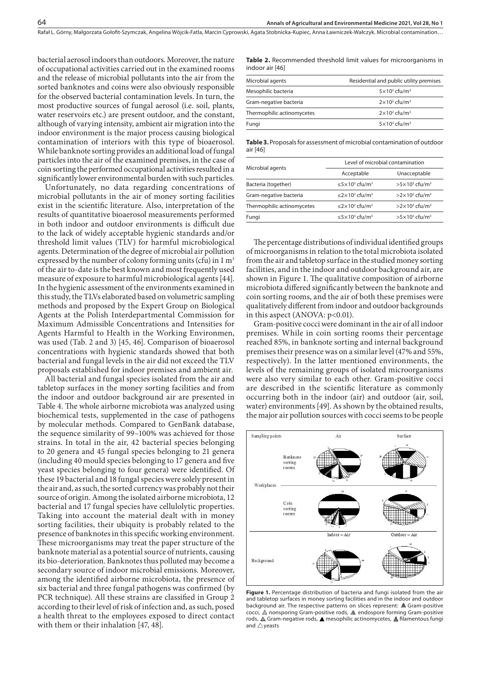Rafał L. Górny, Małgorzata Gołofit-Szymczak, Angelina Wójcik-Fatla, Marcin Cyprowski, Agata Stobnicka-Kupiec, Anna Ławniczek-Wałczyk . Microbial contamination…

bacterial aerosol indoors than outdoors. Moreover, the nature of occupational activities carried out in the examined rooms and the release of microbial pollutants into the air from the sorted banknotes and coins were also obviously responsible for the observed bacterial contamination levels. In turn, the most productive sources of fungal aerosol (i.e. soil, plants, water reservoirs etc.) are present outdoor, and the constant, although of varying intensity, ambient air migration into the indoor environment is the major process causing biological contamination of interiors with this type of bioaerosol. While banknote sorting provides an additional load of fungal particles into the air of the examined premises, in the case of coin sorting the performed occupational activities resulted in a significantly lower environmental burden with such particles.

Unfortunately, no data regarding concentrations of microbial pollutants in the air of money sorting facilities exist in the scientific literature. Also, interpretation of the results of quantitative bioaerosol measurements performed in both indoor and outdoor environments is difficult due to the lack of widely acceptable hygienic standards and/or threshold limit values (TLV) for harmful microbiological agents. Determination of the degree of microbial air pollution expressed by the number of colony forming units (cfu) in  $1 \text{ m}^3$ of the air to-date is the best known and most frequently used measure of exposure to harmful microbiological agents [44]. In the hygienic assessment of the environments examined in this study, the TLVs elaborated based on volumetric sampling methods and proposed by the Expert Group on Biological Agents at the Polish Interdepartmental Commission for Maximum Admissible Concentrations and Intensities for Agents Harmful to Health in the Working Environmen, was used (Tab. 2 and 3) [45, 46]. Comparison of bioaerosol concentrations with hygienic standards showed that both bacterial and fungal levels in the air did not exceed the TLV proposals established for indoor premises and ambient air.

All bacterial and fungal species isolated from the air and tabletop surfaces in the money sorting facilities and from the indoor and outdoor background air are presented in Table 4. The whole airborne microbiota was analyzed using biochemical tests, supplemented in the case of pathogens by molecular methods. Compared to GenBank database, the sequence similarity of 99–100% was achieved for those strains. In total in the air, 42 bacterial species belonging to 20 genera and 45 fungal species belonging to 21 genera (including 40 mould species belonging to 17 genera and five yeast species belonging to four genera) were identified. Of these 19 bacterial and 18 fungal species were solely present in the air and, as such, the sorted currency was probably not their source of origin. Among the isolated airborne microbiota, 12 bacterial and 17 fungal species have cellulolytic properties. Taking into account the material dealt with in money sorting facilities, their ubiquity is probably related to the presence of banknotes in this specific working environment. These microorganisms may treat the paper structure of the banknote material as a potential source of nutrients, causing its bio-deterioration. Banknotes thus polluted may become a secondary source of indoor microbial emissions. Moreover, among the identified airborne microbiota, the presence of six bacterial and three fungal pathogens was confirmed (by PCR technique). All these strains are classified in Group 2 according to their level of risk of infection and, as such, posed a health threat to the employees exposed to direct contact with them or their inhalation [47, 48].

**Table 2.** Recommended threshold limit values for microorganisms in indoor air [46]

| Microbial agents           | Residential and public utility premises |
|----------------------------|-----------------------------------------|
| Mesophilic bacteria        | $5 \times 10^3$ cfu/m <sup>3</sup>      |
| Gram-negative bacteria     | $2\times10^2$ cfu/m <sup>3</sup>        |
| Thermophilic actinomycetes | $2\times10^2$ cfu/m <sup>3</sup>        |
| Fungi                      | $5 \times 10^3$ cfu/m <sup>3</sup>      |

**Table 3.** Proposals for assessment of microbial contamination of outdoor air [46]

|                            | Level of microbial contamination                     |                                   |  |  |  |
|----------------------------|------------------------------------------------------|-----------------------------------|--|--|--|
| Microbial agents           | Acceptable                                           | Unacceptable                      |  |  |  |
| Bacteria (together)        | $\leq$ 5 $\times$ 10 <sup>3</sup> cfu/m <sup>3</sup> | $>5\times10^3$ cfu/m <sup>3</sup> |  |  |  |
| Gram-negative bacteria     | $\leq$ 2×10 <sup>2</sup> cfu/m <sup>3</sup>          | $>2\times10^2$ cfu/m <sup>3</sup> |  |  |  |
| Thermophilic actinomycetes | $\leq$ 2×10 <sup>2</sup> cfu/m <sup>3</sup>          | $>2\times10^2$ cfu/m <sup>3</sup> |  |  |  |
| Fungi                      | $\leq$ 5 $\times$ 10 <sup>3</sup> cfu/m <sup>3</sup> | $>5\times10^3$ cfu/m <sup>3</sup> |  |  |  |

The percentage distributions of individual identified groups of microorganisms in relation to the total microbiota isolated from the air and tabletop surface in the studied money sorting facilities, and in the indoor and outdoor background air, are shown in Figure 1. The qualitative composition of airborne microbiota differed significantly between the banknote and coin sorting rooms, and the air of both these premises were qualitatively different from indoor and outdoor backgrounds in this aspect (ANOVA:  $p<0.01$ ).

Gram-positive cocci were dominant in the air of all indoor premises. While in coin sorting rooms their percentage reached 85%, in banknote sorting and internal background premises their presence was on a similar level (47% and 55%, respectively). In the latter mentioned environments, the levels of the remaining groups of isolated microorganisms were also very similar to each other. Gram-positive cocci are described in the scientific literature as commonly occurring both in the indoor (air) and outdoor (air, soil, water) environments [49]. As shown by the obtained results, the major air pollution sources with cocci seems to be people



Figure 1. Percentage distribution of bacteria and fungi isolated from the air and tabletop surfaces in money sorting facilities and in the indoor and outdoor background air. The respective patterns on slices represent:  $\triangle$  Gram-positive cocci,  $\triangle$  nonsporing Gram-positive rods,  $\triangle$  endospore forming Gram-positive rods,  $\triangle$  Gram-negative rods,  $\triangle$  mesophilic actinomycetes,  $\triangle$  filamentous fungi and  $\triangle$  yeasts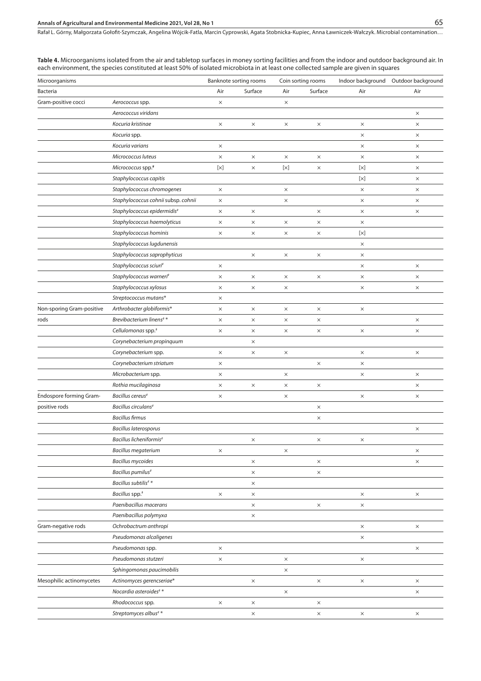#### **Annals of Agricultural and Environmental Medicine 2021, Vol 28, No 1** 65

Rafał L. Górny, Małgorzata Gołofit-Szymczak, Angelina Wójcik-Fatla, Marcin Cyprowski, Agata Stobnicka-Kupiec, Anna Ławniczek-Wałczyk . Microbial contamination…

**Table 4.** Microorganisms isolated from the air and tabletop surfaces in money sorting facilities and from the indoor and outdoor background air. In each environment, the species constituted at least 50% of isolated microbiota in at least one collected sample are given in squares

| Microorganisms            |                                      |            | Banknote sorting rooms |              | Coin sorting rooms | Indoor background | Outdoor background |
|---------------------------|--------------------------------------|------------|------------------------|--------------|--------------------|-------------------|--------------------|
| Bacteria                  |                                      | Air        | Surface                | Air          | Surface            | Air               | Air                |
| Gram-positive cocci       | Aerococcus spp.                      | $\times$   |                        | $\times$     |                    |                   |                    |
|                           | Aerococcus viridans                  |            |                        |              |                    |                   | X                  |
|                           | Kocuria kristinae                    | $\times$   | $\times$               | $\times$     | $\times$           | $\times$          | $\times$           |
|                           | Kocuria spp.                         |            |                        |              |                    | $\times$          | $\times$           |
|                           | Kocuria varians                      | $\times$   |                        |              |                    | $\times$          | $\times$           |
|                           | Micrococcus luteus                   | $\times$   | $\times$               | $\times$     | $\times$           | $\times$          | X                  |
|                           | Micrococcus spp.#                    | $[\times]$ | $\times$               | $[ \times ]$ | $\times$           | $[ \times ]$      | ×                  |
|                           | Staphylococcus capitis               |            |                        |              |                    | $[ \times ]$      | $\times$           |
|                           | Staphylococcus chromogenes           | $\times$   |                        | $\times$     |                    | $\times$          | ×                  |
|                           | Staphylococcus cohnii subsp. cohnii  | $\times$   |                        | ×            |                    | $\times$          | ×                  |
|                           | Staphylococcus epidermidis#          | $\times$   | $\times$               |              | $\times$           | $\times$          | $\times$           |
|                           | Staphylococcus haemolyticus          | $\times$   | $\times$               | $\times$     | $\times$           | $\times$          |                    |
|                           | Staphylococcus hominis               | $\times$   | $\times$               | $\times$     | $\times$           | $[\times]$        |                    |
|                           | Staphylococcus lugdunensis           |            |                        |              |                    | $\times$          |                    |
|                           | Staphylococcus saprophyticus         |            | $\times$               | $\times$     | $\times$           | $\times$          |                    |
|                           | Staphylococcus sciuri#               | $\times$   |                        |              |                    | $\times$          | $\times$           |
|                           | Staphylococcus warneri#              | $\times$   | $\times$               | $\times$     | $\times$           | $\times$          | ×                  |
|                           | Staphylococcus xylosus               | $\times$   | $\times$               | $\times$     |                    | $\times$          | ×                  |
|                           | Streptococcus mutans*                | $\times$   |                        |              |                    |                   |                    |
| Non-sporing Gram-positive | Arthrobacter globiformis*            | $\times$   | $\times$               | $\times$     | $\times$           | $\times$          |                    |
| rods                      | Brevibacterium linens <sup>#</sup> * | $\times$   | $\times$               | $\times$     | X                  |                   | $\times$           |
|                           | Cellulomonas spp. <sup>#</sup>       | $\times$   | $\times$               | $\times$     | $\times$           | $\times$          | $\times$           |
|                           | Corynebacterium propinquum           |            | $\times$               |              |                    |                   |                    |
|                           | Corynebacterium spp.                 | $\times$   | $\times$               | $\times$     |                    | $\times$          | $\times$           |
|                           | Corynebacterium striatum             | $\times$   |                        |              | $\times$           | $\times$          |                    |
|                           | Microbacterium spp.                  | $\times$   |                        | $\times$     |                    | $\times$          | $\times$           |
|                           | Rothia mucilaginosa                  | $\times$   | $\times$               | $\times$     | $\times$           |                   | $\times$           |
| Endospore forming Gram-   | Bacillus cereus <sup>#</sup>         | $\times$   |                        | $\times$     |                    | $\times$          | $\times$           |
| positive rods             | Bacillus circulans <sup>#</sup>      |            |                        |              | $\times$           |                   |                    |
|                           | <b>Bacillus firmus</b>               |            |                        |              | $\times$           |                   |                    |
|                           | <b>Bacillus laterosporus</b>         |            |                        |              |                    |                   | $\times$           |
|                           | Bacillus licheniformis <sup>#</sup>  |            | $\times$               |              | $\times$           | $\times$          |                    |
|                           | <b>Bacillus megaterium</b>           | $\times$   |                        | $\times$     |                    |                   | $\times$           |
|                           | <b>Bacillus mycoides</b>             |            | $\times$               |              | $\times$           |                   | $\times$           |
|                           | Bacillus pumilus <sup>#</sup>        |            | $\times$               |              | $\times$           |                   |                    |
|                           | Bacillus subtilis <sup>#</sup> *     |            | $\times$               |              |                    |                   |                    |
|                           | Bacillus spp. <sup>#</sup>           | $\times$   | $\times$               |              |                    | $\times$          | $\times$           |
|                           | Paenibacillus macerans               |            | $\times$               |              | $\times$           | $\times$          |                    |
|                           | Paenibacillus polymyxa               |            | $\times$               |              |                    |                   |                    |
| Gram-negative rods        | Ochrobactrum anthropi                |            |                        |              |                    | $\times$          | $\times$           |
|                           | Pseudomonas alcaligenes              |            |                        |              |                    | $\times$          |                    |
|                           | Pseudomonas spp.                     | $\times$   |                        |              |                    |                   | $\times$           |
|                           | Pseudomonas stutzeri                 | $\times$   |                        | $\times$     |                    | $\times$          |                    |
|                           | Sphingomonas paucimobilis            |            |                        | $\times$     |                    |                   |                    |
| Mesophilic actinomycetes  | Actinomyces gerencseriae*            |            | $\times$               |              | $\times$           | $\times$          | $\times$           |
|                           | Nocardia asteroides <sup>#</sup> *   |            |                        | $\times$     |                    |                   | $\times$           |
|                           | Rhodococcus spp.                     | $\times$   | $\times$               |              | $\times$           |                   |                    |
|                           | Streptomyces albus <sup>#</sup> *    |            | $\times$               |              | $\times$           | $\times$          | $\times$           |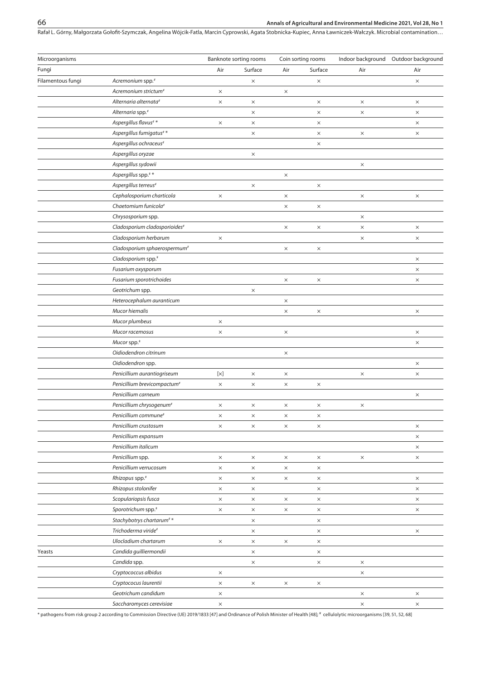Rafał L. Górny, Małgorzata Gołofit-Szymczak, Angelina Wójcik-Fatla, Marcin Cyprowski, Agata Stobnicka-Kupiec, Anna Ławniczek-Wałczyk . Microbial contamination…

| Microorganisms    |                                           |                      | Banknote sorting rooms |          | Coin sorting rooms | Indoor background | Outdoor background |
|-------------------|-------------------------------------------|----------------------|------------------------|----------|--------------------|-------------------|--------------------|
| Fungi             |                                           | Air                  | Surface                | Air      | Surface            | Air               | Air                |
| Filamentous fungi | Acremonium spp. <sup>#</sup>              |                      | $\times$               |          | $\times$           |                   | $\times$           |
|                   | Acremonium strictum <sup>#</sup>          | $\times$             |                        | $\times$ |                    |                   |                    |
|                   | Alternaria alternata <sup>#</sup>         | $\times$             | $\times$               |          | $\times$           | $\times$          | $\times$           |
|                   | Alternaria spp. <sup>#</sup>              |                      | $\times$               |          | $\times$           | $\times$          | $\times$           |
|                   | Aspergillus flavus <sup>#</sup> *         | $\times$             | $\times$               |          | $\times$           |                   | $\times$           |
|                   | Aspergillus fumigatus <sup>#</sup> *      |                      | $\times$               |          | $\times$           | $\times$          | $\times$           |
|                   | Aspergillus ochraceus <sup>#</sup>        |                      |                        |          | $\times$           |                   |                    |
|                   | Aspergillus oryzae                        |                      | $\times$               |          |                    |                   |                    |
|                   | Aspergillus sydowii                       |                      |                        |          |                    | $\times$          |                    |
|                   | Aspergillus spp.**                        |                      |                        | $\times$ |                    |                   |                    |
|                   | Aspergillus terreus <sup>#</sup>          |                      | $\times$               |          | $\times$           |                   |                    |
|                   | Cephalosporium charticola                 | $\times$             |                        | $\times$ |                    | $\times$          | $\times$           |
|                   | Chaetomium funicola <sup>#</sup>          |                      |                        | $\times$ | $\times$           |                   |                    |
|                   | Chrysosporium spp.                        |                      |                        |          |                    | $\times$          |                    |
|                   | Cladosporium cladosporioides <sup>#</sup> |                      |                        | $\times$ | $\times$           | $\times$          | $\times$           |
|                   | Cladosporium herbarum                     | $\times$             |                        |          |                    | $\times$          | $\times$           |
|                   | Cladosporium sphaerospermum <sup>#</sup>  |                      |                        | X        | $\times$           |                   |                    |
|                   | Cladosporium spp. <sup>#</sup>            |                      |                        |          |                    |                   | $\times$           |
|                   | Fusarium oxysporum                        |                      |                        |          |                    |                   | $\times$           |
|                   | Fusarium sporotrichoides                  |                      |                        | $\times$ | $\times$           |                   | $\times$           |
|                   | Geotrichum spp.                           |                      | $\times$               |          |                    |                   |                    |
|                   | Heterocephalum auranticum                 |                      |                        | $\times$ |                    |                   |                    |
|                   | Mucor hiemalis                            |                      |                        | $\times$ | $\times$           |                   | $\times$           |
|                   | Mucor plumbeus                            | $\times$             |                        |          |                    |                   |                    |
|                   | Mucor racemosus                           | $\times$             |                        | $\times$ |                    |                   | $\times$           |
|                   | Mucor spp. <sup>#</sup>                   |                      |                        |          |                    |                   | $\times$           |
|                   | Oidiodendron citrinum                     |                      |                        | $\times$ |                    |                   |                    |
|                   | Oidiodendron spp.                         |                      |                        |          |                    |                   | $\times$           |
|                   | Penicillium aurantiogriseum               | $[\times]$           | $\times$               | $\times$ |                    | $\times$          | $\times$           |
|                   | Penicillium brevicompactum <sup>#</sup>   | $\times$             | $\times$               | $\times$ | $\times$           |                   |                    |
|                   | Penicillium carneum                       |                      |                        |          |                    |                   | $\times$           |
|                   | Penicillium chrysogenum <sup>#</sup>      | $\times$             | $\times$               | $\times$ | $\times$           | $\times$          |                    |
|                   | Penicillium commune <sup>#</sup>          | $\times$             | $\times$               | $\times$ | $\times$           |                   |                    |
|                   | Penicillium crustosum                     | $\times$             | $\times$               | $\times$ | $\times$           |                   | $\times$           |
|                   | Penicillium expansum                      |                      |                        |          |                    |                   | $\times$           |
|                   | Penicillium italicum                      |                      |                        |          |                    |                   | $\times$           |
|                   | Penicillium spp.                          | $\times$             | $\times$               | $\times$ | $\times$           | $\times$          | $\times$           |
|                   | Penicillium verrucosum                    | $\times$             | $\times$               | $\times$ | $\times$           |                   |                    |
|                   | Rhizopus spp. <sup>#</sup>                | $\times$             | $\times$               | $\times$ | $\times$           |                   | $\times$           |
|                   | Rhizopus stolonifer                       | $\times$             | $\times$               |          | $\times$           |                   | $\times$           |
|                   | Scopulariopsis fusca                      | $\times$             | $\times$               | $\times$ | $\times$           |                   | $\times$           |
|                   | Sporotrichum spp. <sup>#</sup>            | $\times$             | $\times$               | $\times$ | $\times$           |                   | $\times$           |
|                   | Stachybotrys chartarum <sup>#</sup> *     |                      | $\times$               |          | $\times$           |                   |                    |
|                   | Trichoderma viride#                       |                      | $\times$               |          | $\times$           |                   | $\times$           |
|                   | Ulocladium chartarum                      | $\times$             | $\times$               | $\times$ | $\times$           |                   |                    |
| Yeasts            | Candida guilliermondii                    |                      | $\times$               |          | $\times$           |                   |                    |
|                   | Candida spp.                              |                      | $\times$               |          | $\times$           | $\times$          |                    |
|                   | Cryptococcus albidus                      |                      |                        |          |                    |                   |                    |
|                   | Cryptococus laurentii                     | $\times$<br>$\times$ | $\times$               | $\times$ | $\times$           | $\times$          |                    |
|                   | Geotrichum candidum                       | $\times$             |                        |          |                    | $\times$          | $\times$           |
|                   | Saccharomyces cerevisiae                  |                      |                        |          |                    | $\times$          | $\times$           |
|                   |                                           | $\times$             |                        |          |                    |                   |                    |

\* pathogens from risk group 2 according to Commission Directive (UE) 2019/1833 [47] and Ordinance of Polish Minister of Health [48]; # cellulolytic microorganisms [39, 51, 52, 68]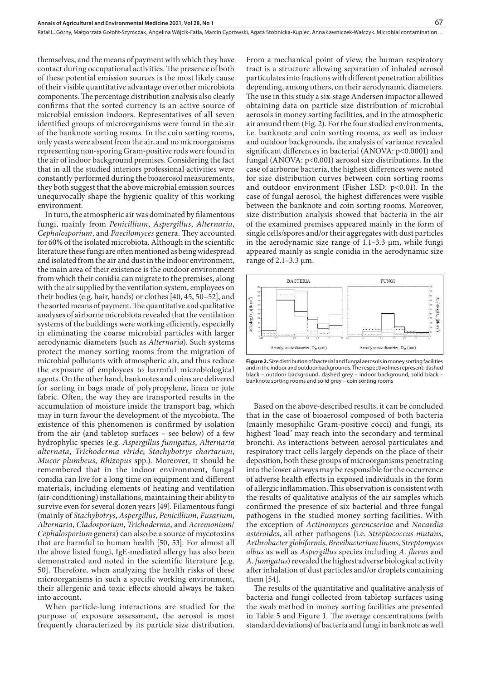themselves, and the means of payment with which they have contact during occupational activities. The presence of both of these potential emission sources is the most likely cause of their visible quantitative advantage over other microbiota components. The percentage distribution analysis also clearly confirms that the sorted currency is an active source of microbial emission indoors. Representatives of all seven identified groups of microorganisms were found in the air of the banknote sorting rooms. In the coin sorting rooms, only yeasts were absent from the air, and no microorganisms representing non-sporing Gram-positive rods were found in the air of indoor background premises. Considering the fact that in all the studied interiors professional activities were constantly performed during the bioaerosol measurements, they both suggest that the above microbial emission sources unequivocally shape the hygienic quality of this working environment.

In turn, the atmospheric air was dominated by filamentous fungi, mainly from *Penicillium*, *Aspergillus*, *Alternaria*, *Cephalosporium*, and *Paecilomyces* genera. They accounted for 60% of the isolated microbiota. Although in the scientific literature these fungi are often mentioned as being widespread and isolated from the air and dust in the indoor environment, the main area of their existence is the outdoor environment from which their conidia can migrate to the premises, along with the air supplied by the ventilation system, employees on their bodies (e.g. hair, hands) or clothes [40, 45, 50–52], and the sorted means of payment. The quantitative and qualitative analyses of airborne microbiota revealed that the ventilation systems of the buildings were working efficiently, especially in eliminating the coarse microbial particles with larger aerodynamic diameters (such as *Alternaria*). Such systems protect the money sorting rooms from the migration of microbial pollutants with atmospheric air, and thus reduce the exposure of employees to harmful microbiological agents. On the other hand, banknotes and coins are delivered for sorting in bags made of polypropylene, linen or jute fabric. Often, the way they are transported results in the accumulation of moisture inside the transport bag, which may in turn favour the development of the mycobiota. The existence of this phenomenon is confirmed by isolation from the air (and tabletop surfaces – see below) of a few hydrophylic species (e.g. *Aspergillus fumigatus*, *Alternaria alternata*, *Trichoderma viride*, *Stachybotrys chartarum*, *Mucor plumbeus*, *Rhizopus* spp.). Moreover, it should be remembered that in the indoor environment, fungal conidia can live for a long time on equipment and different materials, including elements of heating and ventilation (air-conditioning) installations, maintaining their ability to survive even for several dozen years [49]. Filamentous fungi (mainly of *Stachybotrys*, *Aspergillus*, *Penicillium*, *Fusarium*, *Alternaria*, *Cladosporium*, *Trichoderma*, and *Acremonium*/ *Cephalosporium* genera) can also be a source of mycotoxins that are harmful to human health [50, 53]. For almost all the above listed fungi, IgE-mediated allergy has also been demonstrated and noted in the scientific literature [e.g. 50]. Therefore, when analyzing the health risks of these microorganisms in such a specific working environment, their allergenic and toxic effects should always be taken into account.

When particle-lung interactions are studied for the purpose of exposure assessment, the aerosol is most frequently characterized by its particle size distribution. From a mechanical point of view, the human respiratory tract is a structure allowing separation of inhaled aerosol particulates into fractions with different penetration abilities depending, among others, on their aerodynamic diameters. The use in this study a six-stage Andersen impactor allowed obtaining data on particle size distribution of microbial aerosols in money sorting facilities, and in the atmospheric air around them (Fig. 2). For the four studied environments, i.e. banknote and coin sorting rooms, as well as indoor and outdoor backgrounds, the analysis of variance revealed significant differences in bacterial (ANOVA: p<0.0001) and fungal (ANOVA: p<0.001) aerosol size distributions. In the case of airborne bacteria, the highest differences were noted for size distribution curves between coin sorting rooms and outdoor environment (Fisher LSD: p<0.01). In the case of fungal aerosol, the highest differences were visible between the banknote and coin sorting rooms. Moreover, size distribution analysis showed that bacteria in the air of the examined premises appeared mainly in the form of single cells/spores and/or their aggregates with dust particles in the aerodynamic size range of  $1.1-3.3 \mu m$ , while fungi appeared mainly as single conidia in the aerodynamic size range of  $2.1 - 3.3 \mu m$ .



**Figure 2.** Size distribution of bacterial and fungal aerosols in money sorting facilities and in the indoor and outdoor backgrounds. The respective lines represent: dashed black – outdoor background, dashed grey – indoor background, solid black – banknote sorting rooms and solid grey – coin sorting rooms

Based on the above-described results, it can be concluded that in the case of bioaerosol composed of both bacteria (mainly mesophilic Gram-positive cocci) and fungi, its highest 'load' may reach into the secondary and terminal bronchi. As interactions between aerosol particulates and respiratory tract cells largely depends on the place of their deposition, both these groups of microorganisms penetrating into the lower airways may be responsible for the occurrence of adverse health effects in exposed individuals in the form of allergic inflammation. This observation is consistent with the results of qualitative analysis of the air samples which confirmed the presence of six bacterial and three fungal pathogens in the studied money sorting facilities. With the exception of *Actinomyces gerencseriae* and *Nocardia asteroides*, all other pathogens (i.e. *Streptococcus mutans*, *Arthrobacter globiformis*, *Brevibacterium linens*, *Streptomyces albus* as well as *Aspergillus* species including *A*. *flavus* and *A*. *fumigatus*) revealed the highest adverse biological activity after inhalation of dust particles and/or droplets containing them [54].

The results of the quantitative and qualitative analysis of bacteria and fungi collected from tabletop surfaces using the swab method in money sorting facilities are presented in Table 5 and Figure 1. The average concentrations (with standard deviations) of bacteria and fungi in banknote as well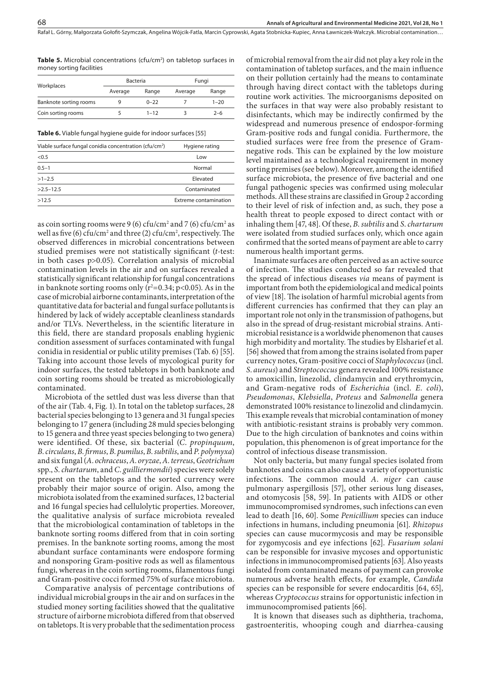Rafał L. Górny, Małgorzata Gołofit-Szymczak, Angelina Wójcik-Fatla, Marcin Cyprowski, Agata Stobnicka-Kupiec, Anna Ławniczek-Wałczyk . Microbial contamination…

**Table 5.** Microbial concentrations (cfu/cm<sup>2</sup>) on tabletop surfaces in money sorting facilities

|                        | <b>Bacteria</b> |          | Fungi |          |  |
|------------------------|-----------------|----------|-------|----------|--|
| Workplaces             | Average         | Range    |       | Range    |  |
| Banknote sorting rooms |                 | $0 - 22$ |       | $1 - 20$ |  |
| Coin sorting rooms     |                 | $1 - 12$ |       | $2 - 6$  |  |

**Table 6.** Viable fungal hygiene guide for indoor surfaces [55]

| Viable surface fungal conidia concentration (cfu/cm <sup>2</sup> ) | Hygiene rating        |  |  |
|--------------------------------------------------------------------|-----------------------|--|--|
| < 0.5                                                              | Low                   |  |  |
| $0.5 - 1$                                                          | Normal                |  |  |
| $>1 - 2.5$                                                         | Elevated              |  |  |
| $>2.5 - 12.5$                                                      | Contaminated          |  |  |
| >12.5                                                              | Extreme contamination |  |  |
|                                                                    |                       |  |  |

as coin sorting rooms were 9 (6) cfu/cm<sup>2</sup> and 7 (6) cfu/cm<sup>2</sup> as well as five (6) cfu/cm<sup>2</sup> and three (2) cfu/cm<sup>2</sup>, respectively. The observed differences in microbial concentrations between studied premises were not statistically significant (*t*-test: in both cases p>0.05). Correlation analysis of microbial contamination levels in the air and on surfaces revealed a statistically significant relationship for fungal concentrations in banknote sorting rooms only (r<sup>2</sup>=0.34; p<0.05). As in the case of microbial airborne contaminants, interpretation of the quantitative data for bacterial and fungal surface pollutants is hindered by lack of widely acceptable cleanliness standards and/or TLVs. Nevertheless, in the scientific literature in this field, there are standard proposals enabling hygienic condition assessment of surfaces contaminated with fungal conidia in residential or public utility premises (Tab. 6) [55]. Taking into account those levels of mycological purity for indoor surfaces, the tested tabletops in both banknote and coin sorting rooms should be treated as microbiologically contaminated.

Microbiota of the settled dust was less diverse than that of the air (Tab. 4, Fig. 1). In total on the tabletop surfaces, 28 bacterial species belonging to 13 genera and 31 fungal species belonging to 17 genera (including 28 muld species belonging to 15 genera and three yeast species belonging to two genera) were identified. Of these, six bacterial (*C*. *propinquum*, *B*. *circulans*, *B*. *firmus*, *B*. *pumilus*, *B*. *subtilis*, and *P*. *polymyxa*) and six fungal (*A*. *ochraceus*, *A*. *oryzae*, *A*. *terreus*, *Geotrichum* spp., *S*. *chartarum*, and *C*. *guilliermondii*) species were solely present on the tabletops and the sorted currency were probably their major source of origin. Also, among the microbiota isolated from the examined surfaces, 12 bacterial and 16 fungal species had cellulolytic properties. Moreover, the qualitative analysis of surface microbiota revealed that the microbiological contamination of tabletops in the banknote sorting rooms differed from that in coin sorting premises. In the banknote sorting rooms, among the most abundant surface contaminants were endospore forming and nonsporing Gram-positive rods as well as filamentous fungi, whereas in the coin sorting rooms, filamentous fungi and Gram-positive cocci formed 75% of surface microbiota.

Comparative analysis of percentage contributions of individual microbial groups in the air and on surfaces in the studied money sorting facilities showed that the qualitative structure of airborne microbiota differed from that observed on tabletops. It is very probable that the sedimentation process

of microbial removal from the air did not play a key role in the contamination of tabletop surfaces, and the main influence on their pollution certainly had the means to contaminate through having direct contact with the tabletops during routine work activities. The microorganisms deposited on the surfaces in that way were also probably resistant to disinfectants, which may be indirectly confirmed by the widespread and numerous presence of endospor-forming Gram-positive rods and fungal conidia. Furthermore, the studied surfaces were free from the presence of Gramnegative rods. This can be explained by the low moisture level maintained as a technological requirement in money sorting premises (see below). Moreover, among the identified surface microbiota, the presence of five bacterial and one fungal pathogenic species was confirmed using molecular methods. All these strains are classified in Group 2 according to their level of risk of infection and, as such, they pose a health threat to people exposed to direct contact with or inhaling them [47, 48]. Of these, *B*. *subtilis* and *S*. *chartarum* were isolated from studied surfaces only, which once again confirmed that the sorted means of payment are able to carry numerous health important germs.

Inanimate surfaces are often perceived as an active source of infection. The studies conducted so far revealed that the spread of infectious diseases *via* means of payment is important from both the epidemiological and medical points of view [18]. The isolation of harmful microbial agents from different currencies has confirmed that they can play an important role not only in the transmission of pathogens, but also in the spread of drug-resistant microbial strains. Antimicrobial resistance is a worldwide phenomenon that causes high morbidity and mortality. The studies by Elsharief et al. [56] showed that from among the strains isolated from paper currency notes, Gram-positive cocci of *Staphylococcus* (incl. *S*. *aureus*) and *Streptococcus* genera revealed 100% resistance to amoxicillin, linezolid, clindamycin and erythromycin, and Gram-negative rods of *Escherichia* (incl. *E*. *coli*), *Pseudomonas*, *Klebsiella*, *Proteus* and *Salmonella* genera demonstrated 100% resistance to linezolid and clindamycin. This example reveals that microbial contamination of money with antibiotic-resistant strains is probably very common. Due to the high circulation of banknotes and coins within population, this phenomenon is of great importance for the control of infectious disease transmission.

Not only bacteria, but many fungal species isolated from banknotes and coins can also cause a variety of opportunistic infections. The common mould *A*. *niger* can cause pulmonary aspergillosis [57], other serious lung diseases, and otomycosis [58, 59]. In patients with AIDS or other immunocompromised syndromes, such infections can even lead to death [16, 60]. Some *Penicillium* species can induce infections in humans, including pneumonia [61]. *Rhizopus* species can cause mucormycosis and may be responsible for zygomycosis and eye infections [62]. *Fusarium solani* can be responsible for invasive mycoses and opportunistic infections in immunocompromised patients [63]. Also yeasts isolated from contaminated means of payment can provoke numerous adverse health effects, for example, *Candida* species can be responsible for severe endocarditis [64, 65], whereas *Cryptococcus* strains for opportunistic infection in immunocompromised patients [66].

It is known that diseases such as diphtheria, trachoma, gastroenteritis, whooping cough and diarrhea-causing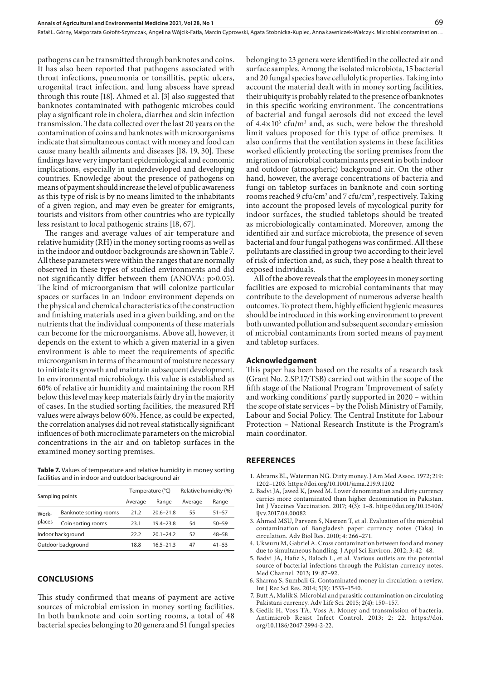pathogens can be transmitted through banknotes and coins. It has also been reported that pathogens associated with throat infections, pneumonia or tonsillitis, peptic ulcers, urogenital tract infection, and lung abscess have spread through this route [18]. Ahmed et al. [3] also suggested that banknotes contaminated with pathogenic microbes could play a significant role in cholera, diarrhea and skin infection transmission. The data collected over the last 20 years on the contamination of coins and banknotes with microorganisms indicate that simultaneous contact with money and food can cause many health ailments and diseases [18, 19, 30]. These findings have very important epidemiological and economic implications, especially in underdeveloped and developing countries. Knowledge about the presence of pathogens on means of payment should increase the level of public awareness as this type of risk is by no means limited to the inhabitants of a given region, and may even be greater for emigrants, tourists and visitors from other countries who are typically less resistant to local pathogenic strains [18, 67].

The ranges and average values of air temperature and relative humidity (RH) in the money sorting rooms as well as in the indoor and outdoor backgrounds are shown in Table 7. All these parameters were within the ranges that are normally observed in these types of studied environments and did not significantly differ between them (ANOVA: p>0.05). The kind of microorganism that will colonize particular spaces or surfaces in an indoor environment depends on the physical and chemical characteristics of the construction and finishing materials used in a given building, and on the nutrients that the individual components of these materials can become for the microorganisms. Above all, however, it depends on the extent to which a given material in a given environment is able to meet the requirements of specific microorganism in terms of the amount of moisture necessary to initiate its growth and maintain subsequent development. In environmental microbiology, this value is established as 60% of relative air humidity and maintaining the room RH below this level may keep materials fairly dry in the majority of cases. In the studied sorting facilities, the measured RH values were always below 60%. Hence, as could be expected, the correlation analyses did not reveal statistically significant influences of both microclimate parameters on the microbial concentrations in the air and on tabletop surfaces in the examined money sorting premises.

**Table 7.** Values of temperature and relative humidity in money sorting facilities and in indoor and outdoor background air

| Sampling points    |                        |         | Temperature (°C) | Relative humidity (%) |           |  |
|--------------------|------------------------|---------|------------------|-----------------------|-----------|--|
|                    |                        | Average | Range            | Average               | Range     |  |
| Work-<br>places    | Banknote sorting rooms | 21.2    | $20.6 - 21.8$    | 55                    | $51 - 57$ |  |
|                    | Coin sorting rooms     | 23.1    | $19.4 - 23.8$    | 54                    | $50 - 59$ |  |
| Indoor background  |                        | 222     | $20.1 - 24.2$    | 52                    | $48 - 58$ |  |
| Outdoor background |                        | 18.8    | $165 - 213$      | 47                    | $41 - 53$ |  |

#### **CONCLUSIONS**

This study confirmed that means of payment are active sources of microbial emission in money sorting facilities. In both banknote and coin sorting rooms, a total of 48 bacterial species belonging to 20 genera and 51 fungal species belonging to 23 genera were identified in the collected air and surface samples. Among the isolated microbiota, 15 bacterial and 20 fungal species have cellulolytic properties. Taking into account the material dealt with in money sorting facilities, their ubiquity is probably related to the presence of banknotes in this specific working environment. The concentrations of bacterial and fungal aerosols did not exceed the level of  $4.4 \times 10^3$  cfu/m<sup>3</sup> and, as such, were below the threshold limit values proposed for this type of office premises. It also confirms that the ventilation systems in these facilities worked efficiently protecting the sorting premises from the migration of microbial contaminants present in both indoor and outdoor (atmospheric) background air. On the other hand, however, the average concentrations of bacteria and fungi on tabletop surfaces in banknote and coin sorting rooms reached 9 cfu/cm<sup>2</sup> and 7 cfu/cm<sup>2</sup>, respectively. Taking into account the proposed levels of mycological purity for indoor surfaces, the studied tabletops should be treated as microbiologically contaminated. Moreover, among the identified air and surface microbiota, the presence of seven bacterial and four fungal pathogens was confirmed. All these pollutants are classified in group two according to their level of risk of infection and, as such, they pose a health threat to exposed individuals.

All of the above reveals that the employees in money sorting facilities are exposed to microbial contaminants that may contribute to the development of numerous adverse health outcomes. To protect them, highly efficient hygienic measures should be introduced in this working environment to prevent both unwanted pollution and subsequent secondary emission of microbial contaminants from sorted means of payment and tabletop surfaces.

#### **Acknowledgement**

This paper has been based on the results of a research task (Grant No. 2.SP.17/TSB) carried out within the scope of the fifth stage of the National Program 'Improvement of safety and working conditions' partly supported in 2020 – within the scope of state services – by the Polish Ministry of Family, Labour and Social Policy. The Central Institute for Labour Protection – National Research Institute is the Program's main coordinator.

#### **REFERENCES**

- 1. Abrams BL, Waterman NG. Dirty money. J Am Med Assoc. 1972; 219: 1202–1203. https://doi.org/10.1001/jama.219.9.1202
- 2. Badvi JA, Jawed K, Jawed M. Lower denomination and dirty currency carries more contaminated than higher denomination in Pakistan. Int J Vaccines Vaccination. 2017; 4(3): 1–8. https://doi.org/10.15406/ ijvy.2017.04.00082
- 3. Ahmed MSU, Parveen S, Nasreen T, et al. Evaluation of the microbial contamination of Bangladesh paper currency notes (Taka) in circulation. Adv Biol Res. 2010; 4: 266–271.
- 4. Ukwuru M, Gabriel A. Cross contamination between food and money due to simultaneous handling. J Appl Sci Environ. 2012; 3: 42–48.
- 5. Badvi JA, Hafiz S, Baloch L, et al. Various outlets are the potential source of bacterial infections through the Pakistan currency notes. Med Channel. 2013; 19: 87–92.
- 6. Sharma S, Sumbali G. Contaminated money in circulation: a review. Int J Rec Sci Res. 2014; 5(9): 1533–1540.
- 7. Butt A, Malik S. Microbial and parasitic contamination on circulating Pakistani currency. Adv Life Sci. 2015; 2(4): 150–157.
- 8. Gedik H, Voss TA, Voss A. Money and transmission of bacteria. Antimicrob Resist Infect Control. 2013; 2: 22. https://doi. org/10.1186/2047-2994-2-22.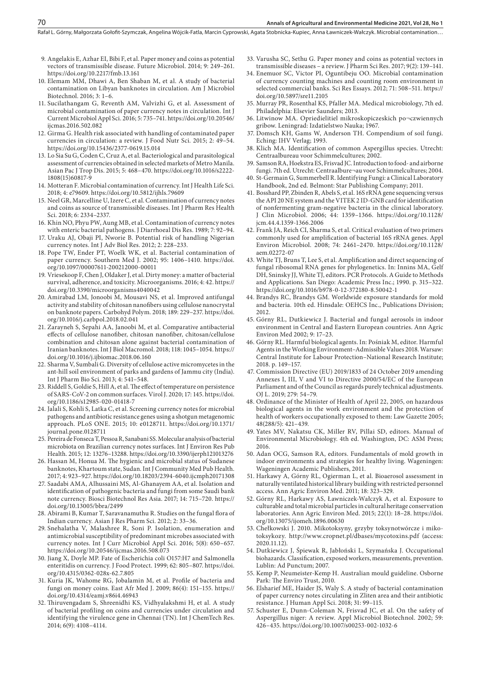- 9. Angelakis E, Azhar EI, Bibi F, et al. Paper money and coins as potential vectors of transmissible disease. Future Microbiol. 2014; 9: 249–261. https://doi.org/10.2217/fmb.13.161
- 10. Elemam MM, Dhawi A, Ben Shaban M, et al. A study of bacterial contamination on Libyan banknotes in circulation. Am J Microbiol Biotechnol. 2016; 3: 1–6.
- 11. Sucilathangam G, Reventh AM, Valvizhi G, et al. Assessment of microbial contamination of paper currency notes in circulation. Int J Current Microbiol Appl Sci. 2016; 5: 735–741. https://doi.org/10.20546/ iicmas.2016.502.082
- 12. Girma G. Health risk associated with handling of contaminated paper currencies in circulation: a review. J Food Nutr Sci. 2015; 2: 49–54. https://doi.org/10.15436/2377-0619.15.014
- 13. Lo Sia Su G, Coden C, Cruz A, et al. Bacteriological and parasitological assessment of currencies obtained in selected markets of Metro Manila. Asian Pac J Trop Dis. 2015; 5: 468–470. https://doi.org/10.1016/s2222- 1808(15)60817-9
- 14. Motteran F. Microbial contamination of currency. Int J Health Life Sci. 2018; 4: e79609. https://doi.org/10.5812/ijhls.79609
- 15. Neel GR, Marcelline U, Izere C, et al. Contamination of currency notes and coins as source of transmissible diseases. Int J Pharm Res Health Sci. 2018; 6: 2334–2337.
- 16. Khin NO, Phyu PW, Aung MB, et al. Contamination of currency notes with enteric bacterial pathogens. J Diarrhoeal Dis Res. 1989; 7: 92–94.
- 17. Uraku AJ, Obaji PI, Nworie B. Potential risk of handling Nigerian currency notes. Int J Adv Biol Res. 2012; 2: 228–233.
- 18. Pope TW, Ender PT, Woelk WK, et al. Bacterial contamination of paper currency. Southern Med J. 2002; 95: 1406–1410. https://doi. org/10.1097/00007611-200212000-00011
- 19. Vriesekoop F, Chen J, Oldaker J, et al. Dirty money: a matter of bacterial survival, adherence, and toxicity. Microorganisms. 2016; 4: 42. https:// doi.org/10.3390/microorganisms4040042
- 20. Amirabad LM, Jonoobi M, Mousavi NS, et al. Improved antifungal activity and stability of chitosan nanofibers using cellulose nanocrystal on banknote papers. Carbohyd Polym. 2018; 189: 229–237. https://doi. org/10.1016/j.carbpol.2018.02.041
- 21. Zarayneh S, Sepahi AA, Janoobi M, et al. Comparative antibacterial effects of cellulose nanofiber, chitosan nanofiber, chitosan/cellulose combination and chitosan alone against bacterial contamination of Iranian banknotes. Int J Biol Macromol. 2018; 118: 1045–1054. https:// doi.org/10.1016/j.ijbiomac.2018.06.160
- 22. Sharma V, Sumbali G. Diversity of cellulose active micromycetes in the ant-hill soil environment of parks and gardens of Jammu city (India). Int J Pharm Bio Sci. 2013; 4: 541–548.
- 23. Riddell S, Goldie S, Hill A, et al. The effect of temperature on persistence of SARS-CoV-2 on common surfaces. Virol J. 2020; 17: 145. https://doi. org/10.1186/s12985-020-01418-7
- 24. Jalali S, Kohli S, Latka C, et al. Screening currency notes for microbial pathogens and antibiotic resistance genes using a shotgun metagenomic approach. PLoS ONE. 2015; 10: e0128711. https://doi.org/10.1371/ journal.pone.0128711
- 25. Pereira de Fonseca T, Pessoa R, Sanabani SS. Molecular analysis of bacterial microbiota on Brazilian currency notes surfaces. Int J Environ Res Pub Health. 2015; 12: 13276–13288. https://doi.org/10.3390/ijerph121013276
- 26. Hassan M, Honua M. The hygienic and microbial status of Sudanese banknotes, Khartoum state, Sudan. Int J Community Med Pub Health. 2017; 4: 923–927. https://doi.org/10.18203/2394-6040.ijcmph20171308
- 27. Saadabi AMA, Alhussaini MS, Al-Ghanayem AA, et al. Isolation and identification of pathogenic bacteria and fungi from some Saudi bank note currency. Biosci Biotechnol Res Asia. 2017; 14: 715–720. https:// doi.org/10.13005/bbra/2499
- 28. Abirami B, Kumar T, Saravanamuthu R. Studies on the fungal flora of Indian currency. Asian J Res Pharm Sci. 2012; 2: 33–36.
- 29. Snehalatha V, Malashree R, Soni P. Isolation, enumeration and antimicrobial susceptibility of predominant microbes associated with currency notes. Int J Curr Microbiol Appl Sci. 2016; 5(8): 650–657. https://doi.org/10.20546/ijcmas.2016.508.073
- 30. Jiang X, Doyle MP. Fate of Escherichia coli O157:H7 and Salmonella enteritidis on currency. J Food Protect. 1999; 62: 805–807. https://doi. org/10.4315/0362-028x-62.7.805
- 31. Kuria JK, Wahome RG, Jobalamin M, et al. Profile of bacteria and fungi on money coins. East Afr Med J. 2009; 86(4): 151–155. https:// doi.org/10.4314/eamj.v86i4.46943
- 32. Thiruvengadam S, Shreenidhi KS, Vidhyalakshmi H, et al. A study of bacterial profiling on coins and currencies under circulation and identifying the virulence gene in Chennai (TN). Int J ChemTech Res. 2014; 6(9): 4108–4114.
- 33. Varusha SC, Sethu G. Paper money and coins as potential vectors in transmissible diseases – a review. J Pharm Sci Res. 2017; 9(2): 139–141.
- 34. Enemuor SC, Victor PI, Oguntibeju OO. Microbial contamination of currency counting machines and counting room environment in selected commercial banks. Sci Res Essays. 2012; 71: 508–511. https:// doi.org/10.5897/sre11.2105
- 35. Murray PR, Rosenthal KS, Pfaller MA. Medical microbiology, 7th ed. Philadelphia: Elsevier Saunders; 2013.
- 36. Litwinow MA. Opriedielitiel mikroskopiczeskich po¬czwiennych gribow. Leningrad: Izdatielstwo Nauka; 1967.
- 37. Domsch KH, Gams W, Anderson TH. Compendium of soil fungi. Eching: IHV Verlag; 1993.
- 38. Klich MA. Identification of common Aspergillus species. Utrecht: Centraalbureau voor Schimmelcultures; 2002.
- 39. Samson RA, Hoekstra ES, Frisvad JC. Introduction to food- and airborne fungi. 7th ed. Utrecht: Centraalbure¬au voor Schimmelcultures; 2004.
- 40. St-Germain G, Summerbell R. Identifying Fungi: a Clinical Laboratory Handbook, 2nd ed. Belmont: Star Publishing Company; 2011.
- 41. Bosshard PP, Zbinden R, Abels S, et al. 16S rRNA gene sequencing versus the API 20 NE system and the VITEK 2 ID-GNB card for identification of nonfermenting gram-negative bacteria in the clinical laboratory. J Clin Microbiol. 2006; 44: 1359–1366. https://doi.org/10.1128/ jcm.44.4.1359-1366.2006
- 42. Frank JA, Reich CI, Sharma S, et al. Critical evaluation of two primers commonly used for amplification of bacterial 16S rRNA genes. Appl Environ Microbiol. 2008; 74: 2461–2470. https://doi.org/10.1128/ aem.02272-07
- 43. White TJ, Bruns T, Lee S, et al. Amplification and direct sequencing of fungal ribosomal RNA genes for phylogenetics. In: Innins MA, Gelf DH, Sninsky JJ, White TJ, editors. PCR Protocols. A Guide to Methods and Applications. San Diego: Academic Press Inc.; 1990. p. 315–322. https://doi.org/10.1016/b978-0-12-372180-8.50042-1
- 44. Brandys RC, Brandys GM. Worldwide exposure standards for mold and bacteria. 10th ed. Hinsdale: OEHCS Inc., Publications Division; 2012.
- 45. Górny RL, Dutkiewicz J. Bacterial and fungal aerosols in indoor environment in Central and Eastern European countries. Ann Agric Environ Med 2002; 9: 17–23.
- 46. Górny RL. Harmful biological agents. In: Pośniak M, editor. Harmful Agents in the Working Environment–Admissible Values 2018. Warsaw: Central Institute for Labour Protection–National Research Institute; 2018. p. 149–157.
- 47. Commission Directive (EU) 2019/1833 of 24 October 2019 amending Annexes I, III, V and VI to Directive 2000/54/EC of the European Parliament and of the Council as regards purely technical adjustments. OJ L. 2019; 279: 54–79.
- 48. Ordinance of the Minister of Health of April 22, 2005, on hazardous biological agents in the work environment and the protection of health of workers occupationally exposed to them: Law Gazette 2005; 48(288/5): 421–439.
- 49. Yates MV, Nakatsu CK, Miller RV, Pillai SD, editors. Manual of Environmental Microbiology. 4th ed. Washington, DC: ASM Press; 2016.
- 50. Adan OCG, Samson RA, editors. Fundamentals of mold growth in indoor environments and strategies for healthy living. Wageningen: Wageningen Academic Publishers, 2011.
- 51. Harkawy A, Górny RL, Ogierman L, et al. Bioaerosol assessment in naturally ventilated historical library building with restricted personnel access. Ann Agric Environ Med. 2011; 18: 323–329.
- 52. Górny RL, Harkawy AS, Ławniczek-Wałczyk A, et al. Exposure to culturable and total microbial particles in cultural heritage conservation laboratories. Ann Agric Environ Med. 2015; 22(1): 18–28. https://doi. org/10.13075/ijomeh.1896.00630
- 53. Chełkowski J. 2010. Mikotoksyny, grzyby toksynotwórcze i mikotoksykozy. http://www.cropnet.pl/dbases/mycotoxins.pdf (access: 2020.11.12).
- 54. Dutkiewicz J, Śpiewak R, Jabłoński L, Szymańska J. Occupational biohazards. Classification, exposed workers, measurements, prevention. Lublin: Ad Punctum; 2007.
- 55. Kemp P, Neumeister-Kemp H. Australian mould guideline. Osborne Park: The Enviro Trust, 2010.
- 56. Elsharief ME, Haider JS, Waly S. A study of bacterial contamination of paper currency notes circulating in Zliten area and their antibiotic resistance. J Human Appl Sci. 2018; 31: 99–115.
- 57. Schuster E, Dunn-Coleman N, Frisvad JC, et al. On the safety of Aspergillus niger: A review. Appl Microbiol Biotechnol. 2002; 59: 426–435. https://doi.org/10.1007/s00253-002-1032-6